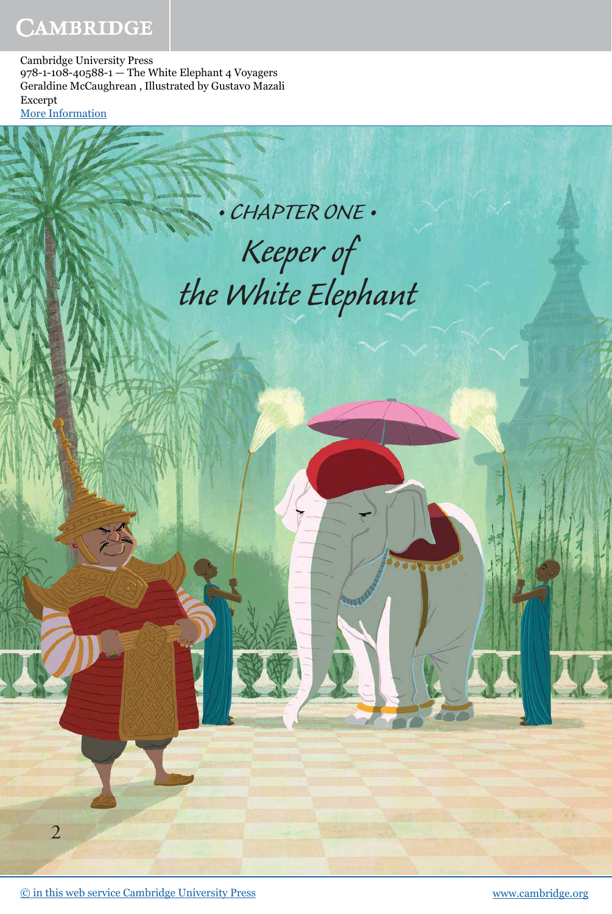## CAMBRIDGE

Cambridge University Press 978-1-108-40588-1 — The White Elephant 4 Voyagers Geraldine McCaughrean , Illustrated by Gustavo Mazali Excerpt [More Information](www.cambridge.org/9781108405881)

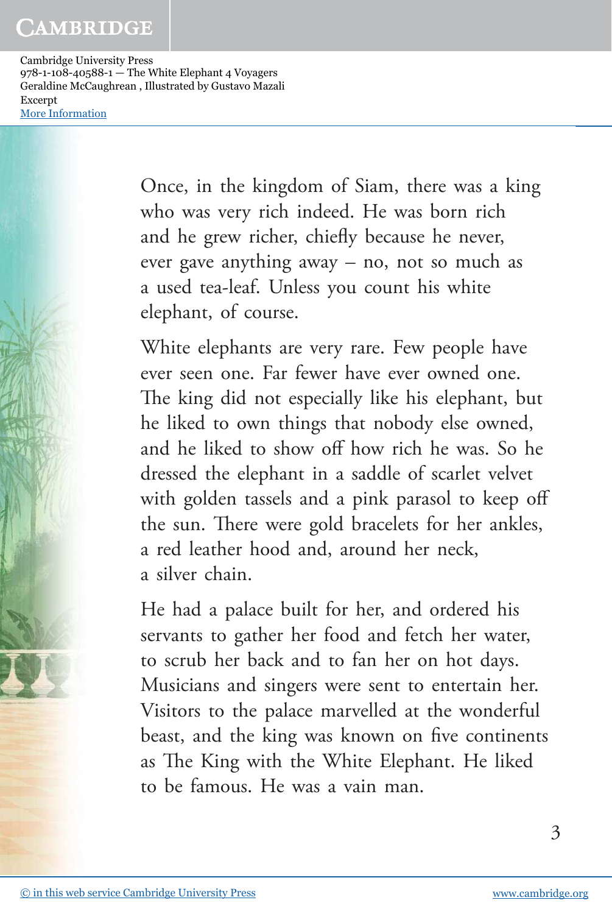## CAMBRIDGE

Cambridge University Press 978-1-108-40588-1 — The White Elephant 4 Voyagers Geraldine McCaughrean , Illustrated by Gustavo Mazali Excerpt [More Information](www.cambridge.org/9781108405881)

> Once, in the kingdom of Siam, there was a king who was very rich indeed. He was born rich and he grew richer, chiefly because he never, ever gave anything away – no, not so much as a used tea-leaf. Unless you count his white elephant, of course.

White elephants are very rare. Few people have ever seen one. Far fewer have ever owned one. The king did not especially like his elephant, but he liked to own things that nobody else owned, and he liked to show off how rich he was. So he dressed the elephant in a saddle of scarlet velvet with golden tassels and a pink parasol to keep off the sun. There were gold bracelets for her ankles, a red leather hood and, around her neck, a silver chain.

He had a palace built for her, and ordered his servants to gather her food and fetch her water, to scrub her back and to fan her on hot days. Musicians and singers were sent to entertain her. Visitors to the palace marvelled at the wonderful beast, and the king was known on five continents as The King with the White Elephant. He liked to be famous. He was a vain man.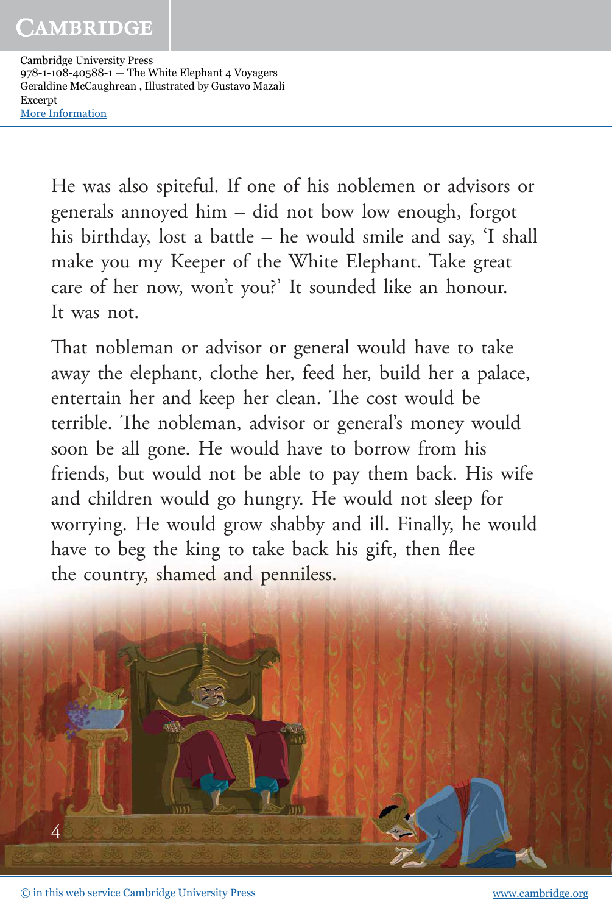Cambridge University Press 978-1-108-40588-1 — The White Elephant 4 Voyagers Geraldine McCaughrean , Illustrated by Gustavo Mazali Excerpt [More Information](www.cambridge.org/9781108405881)

> He was also spiteful. If one of his noblemen or advisors or generals annoyed him – did not bow low enough, forgot his birthday, lost a battle – he would smile and say, 'I shall make you my Keeper of the White Elephant. Take great care of her now, won't you?' It sounded like an honour. It was not.

> That nobleman or advisor or general would have to take away the elephant, clothe her, feed her, build her a palace, entertain her and keep her clean. The cost would be terrible. The nobleman, advisor or general's money would soon be all gone. He would have to borrow from his friends, but would not be able to pay them back. His wife and children would go hungry. He would not sleep for worrying. He would grow shabby and ill. Finally, he would have to beg the king to take back his gift, then flee the country, shamed and penniless.

4